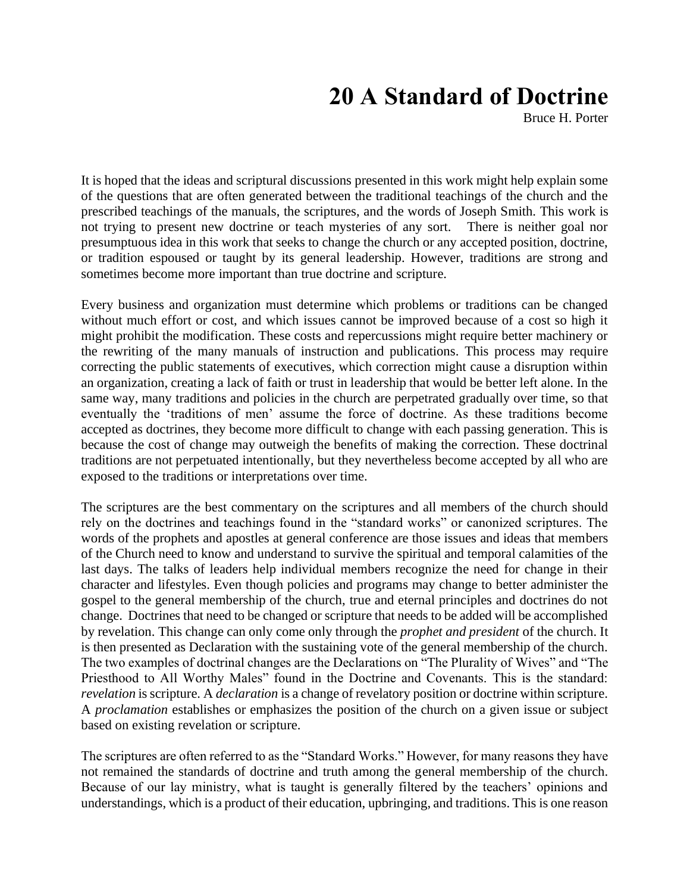# **20 A Standard of Doctrine**

Bruce H. Porter

It is hoped that the ideas and scriptural discussions presented in this work might help explain some of the questions that are often generated between the traditional teachings of the church and the prescribed teachings of the manuals, the scriptures, and the words of Joseph Smith. This work is not trying to present new doctrine or teach mysteries of any sort. There is neither goal nor presumptuous idea in this work that seeks to change the church or any accepted position, doctrine, or tradition espoused or taught by its general leadership. However, traditions are strong and sometimes become more important than true doctrine and scripture.

Every business and organization must determine which problems or traditions can be changed without much effort or cost, and which issues cannot be improved because of a cost so high it might prohibit the modification. These costs and repercussions might require better machinery or the rewriting of the many manuals of instruction and publications. This process may require correcting the public statements of executives, which correction might cause a disruption within an organization, creating a lack of faith or trust in leadership that would be better left alone. In the same way, many traditions and policies in the church are perpetrated gradually over time, so that eventually the 'traditions of men' assume the force of doctrine. As these traditions become accepted as doctrines, they become more difficult to change with each passing generation. This is because the cost of change may outweigh the benefits of making the correction. These doctrinal traditions are not perpetuated intentionally, but they nevertheless become accepted by all who are exposed to the traditions or interpretations over time.

The scriptures are the best commentary on the scriptures and all members of the church should rely on the doctrines and teachings found in the "standard works" or canonized scriptures. The words of the prophets and apostles at general conference are those issues and ideas that members of the Church need to know and understand to survive the spiritual and temporal calamities of the last days. The talks of leaders help individual members recognize the need for change in their character and lifestyles. Even though policies and programs may change to better administer the gospel to the general membership of the church, true and eternal principles and doctrines do not change. Doctrines that need to be changed or scripture that needs to be added will be accomplished by revelation. This change can only come only through the *prophet and president* of the church. It is then presented as Declaration with the sustaining vote of the general membership of the church. The two examples of doctrinal changes are the Declarations on "The Plurality of Wives" and "The Priesthood to All Worthy Males" found in the Doctrine and Covenants. This is the standard: *revelation* is scripture. A *declaration* is a change of revelatory position or doctrine within scripture. A *proclamation* establishes or emphasizes the position of the church on a given issue or subject based on existing revelation or scripture.

The scriptures are often referred to as the "Standard Works." However, for many reasons they have not remained the standards of doctrine and truth among the general membership of the church. Because of our lay ministry, what is taught is generally filtered by the teachers' opinions and understandings, which is a product of their education, upbringing, and traditions. This is one reason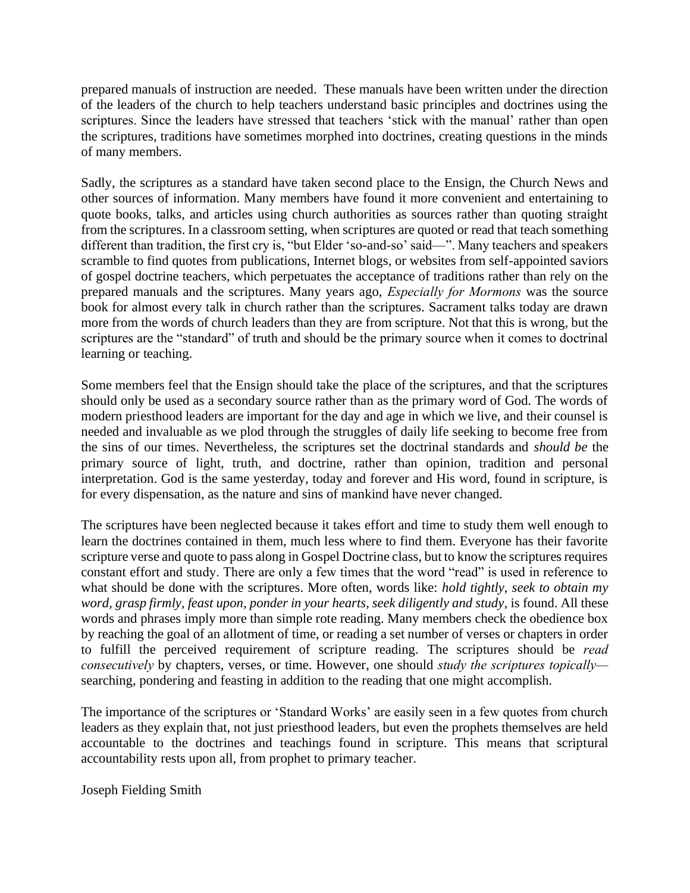prepared manuals of instruction are needed. These manuals have been written under the direction of the leaders of the church to help teachers understand basic principles and doctrines using the scriptures. Since the leaders have stressed that teachers 'stick with the manual' rather than open the scriptures, traditions have sometimes morphed into doctrines, creating questions in the minds of many members.

Sadly, the scriptures as a standard have taken second place to the Ensign, the Church News and other sources of information. Many members have found it more convenient and entertaining to quote books, talks, and articles using church authorities as sources rather than quoting straight from the scriptures. In a classroom setting, when scriptures are quoted or read that teach something different than tradition, the first cry is, "but Elder 'so-and-so' said—". Many teachers and speakers scramble to find quotes from publications, Internet blogs, or websites from self-appointed saviors of gospel doctrine teachers, which perpetuates the acceptance of traditions rather than rely on the prepared manuals and the scriptures. Many years ago, *Especially for Mormons* was the source book for almost every talk in church rather than the scriptures. Sacrament talks today are drawn more from the words of church leaders than they are from scripture. Not that this is wrong, but the scriptures are the "standard" of truth and should be the primary source when it comes to doctrinal learning or teaching.

Some members feel that the Ensign should take the place of the scriptures, and that the scriptures should only be used as a secondary source rather than as the primary word of God. The words of modern priesthood leaders are important for the day and age in which we live, and their counsel is needed and invaluable as we plod through the struggles of daily life seeking to become free from the sins of our times. Nevertheless, the scriptures set the doctrinal standards and *should be* the primary source of light, truth, and doctrine, rather than opinion, tradition and personal interpretation. God is the same yesterday, today and forever and His word, found in scripture, is for every dispensation, as the nature and sins of mankind have never changed.

The scriptures have been neglected because it takes effort and time to study them well enough to learn the doctrines contained in them, much less where to find them. Everyone has their favorite scripture verse and quote to pass along in Gospel Doctrine class, but to know the scriptures requires constant effort and study. There are only a few times that the word "read" is used in reference to what should be done with the scriptures. More often, words like: *hold tightly*, *seek to obtain my word, grasp firmly, feast upon, ponder in your hearts, seek diligently and study*, is found. All these words and phrases imply more than simple rote reading. Many members check the obedience box by reaching the goal of an allotment of time, or reading a set number of verses or chapters in order to fulfill the perceived requirement of scripture reading. The scriptures should be *read consecutively* by chapters, verses, or time. However, one should *study the scriptures topically* searching, pondering and feasting in addition to the reading that one might accomplish.

The importance of the scriptures or 'Standard Works' are easily seen in a few quotes from church leaders as they explain that, not just priesthood leaders, but even the prophets themselves are held accountable to the doctrines and teachings found in scripture. This means that scriptural accountability rests upon all, from prophet to primary teacher.

Joseph Fielding Smith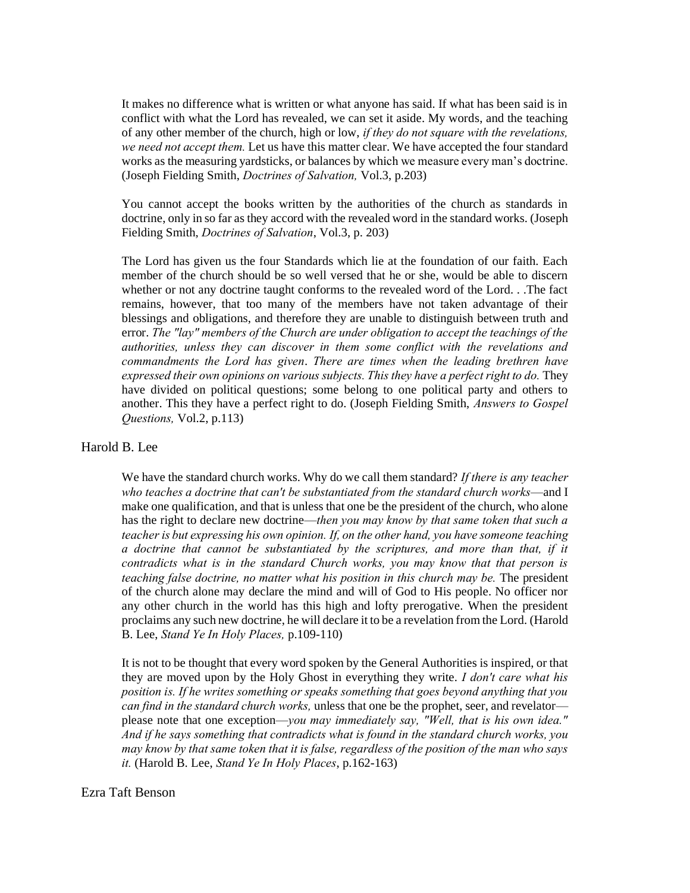It makes no difference what is written or what anyone has said. If what has been said is in conflict with what the Lord has revealed, we can set it aside. My words, and the teaching of any other member of the church, high or low, *if they do not square with the revelations, we need not accept them.* Let us have this matter clear. We have accepted the four standard works as the measuring yardsticks, or balances by which we measure every man's doctrine. (Joseph Fielding Smith, *Doctrines of Salvation,* Vol.3, p.203)

You cannot accept the books written by the authorities of the church as standards in doctrine, only in so far as they accord with the revealed word in the standard works. (Joseph Fielding Smith, *Doctrines of Salvation*, Vol.3, p. 203)

The Lord has given us the four Standards which lie at the foundation of our faith. Each member of the church should be so well versed that he or she, would be able to discern whether or not any doctrine taught conforms to the revealed word of the Lord. . .The fact remains, however, that too many of the members have not taken advantage of their blessings and obligations, and therefore they are unable to distinguish between truth and error. *The "lay" members of the Church are under obligation to accept the teachings of the authorities, unless they can discover in them some conflict with the revelations and commandments the Lord has given*. *There are times when the leading brethren have expressed their own opinions on various subjects. This they have a perfect right to do.* They have divided on political questions; some belong to one political party and others to another. This they have a perfect right to do. (Joseph Fielding Smith, *Answers to Gospel Questions,* Vol.2, p.113)

### Harold B. Lee

We have the standard church works. Why do we call them standard? *If there is any teacher who teaches a doctrine that can't be substantiated from the standard church works*—and I make one qualification, and that is unless that one be the president of the church, who alone has the right to declare new doctrine—*then you may know by that same token that such a teacher is but expressing his own opinion. If, on the other hand, you have someone teaching a doctrine that cannot be substantiated by the scriptures, and more than that, if it contradicts what is in the standard Church works, you may know that that person is teaching false doctrine, no matter what his position in this church may be.* The president of the church alone may declare the mind and will of God to His people. No officer nor any other church in the world has this high and lofty prerogative. When the president proclaims any such new doctrine, he will declare it to be a revelation from the Lord. (Harold B. Lee, *Stand Ye In Holy Places,* p.109-110)

It is not to be thought that every word spoken by the General Authorities is inspired, or that they are moved upon by the Holy Ghost in everything they write. *I don't care what his position is. If he writes something or speaks something that goes beyond anything that you can find in the standard church works,* unless that one be the prophet, seer, and revelator please note that one exception—*you may immediately say, "Well, that is his own idea." And if he says something that contradicts what is found in the standard church works, you may know by that same token that it is false, regardless of the position of the man who says it.* (Harold B. Lee, *Stand Ye In Holy Places*, p.162-163)

### Ezra Taft Benson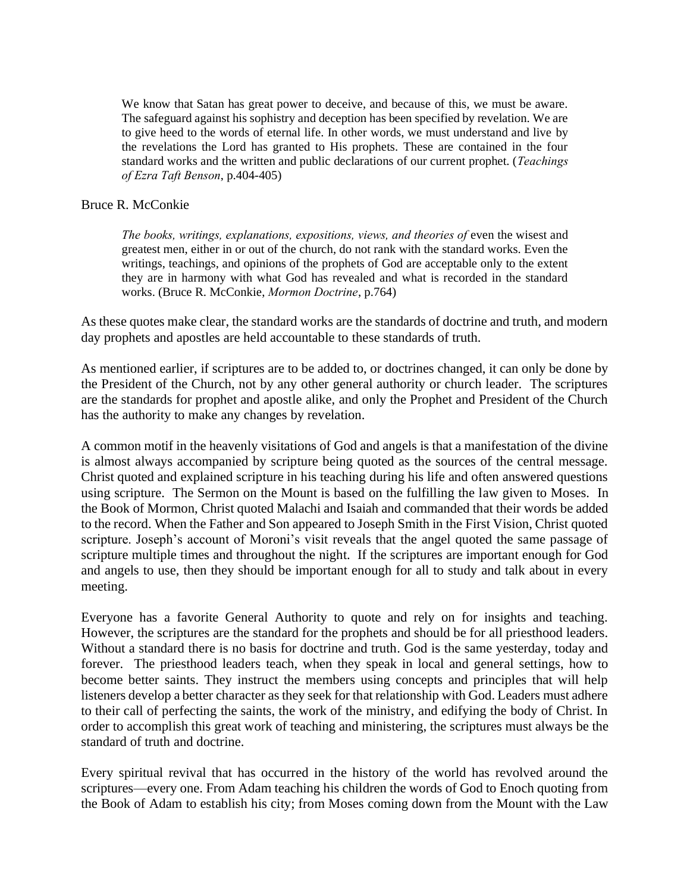We know that Satan has great power to deceive, and because of this, we must be aware. The safeguard against his sophistry and deception has been specified by revelation. We are to give heed to the words of eternal life. In other words, we must understand and live by the revelations the Lord has granted to His prophets. These are contained in the four standard works and the written and public declarations of our current prophet. (*Teachings of Ezra Taft Benson*, p.404-405)

## Bruce R. McConkie

*The books, writings, explanations, expositions, views, and theories of* even the wisest and greatest men, either in or out of the church, do not rank with the standard works. Even the writings, teachings, and opinions of the prophets of God are acceptable only to the extent they are in harmony with what God has revealed and what is recorded in the standard works. (Bruce R. McConkie, *Mormon Doctrine*, p.764)

As these quotes make clear, the standard works are the standards of doctrine and truth, and modern day prophets and apostles are held accountable to these standards of truth.

As mentioned earlier, if scriptures are to be added to, or doctrines changed, it can only be done by the President of the Church, not by any other general authority or church leader. The scriptures are the standards for prophet and apostle alike, and only the Prophet and President of the Church has the authority to make any changes by revelation.

A common motif in the heavenly visitations of God and angels is that a manifestation of the divine is almost always accompanied by scripture being quoted as the sources of the central message. Christ quoted and explained scripture in his teaching during his life and often answered questions using scripture. The Sermon on the Mount is based on the fulfilling the law given to Moses. In the Book of Mormon, Christ quoted Malachi and Isaiah and commanded that their words be added to the record. When the Father and Son appeared to Joseph Smith in the First Vision, Christ quoted scripture. Joseph's account of Moroni's visit reveals that the angel quoted the same passage of scripture multiple times and throughout the night. If the scriptures are important enough for God and angels to use, then they should be important enough for all to study and talk about in every meeting.

Everyone has a favorite General Authority to quote and rely on for insights and teaching. However, the scriptures are the standard for the prophets and should be for all priesthood leaders. Without a standard there is no basis for doctrine and truth. God is the same yesterday, today and forever. The priesthood leaders teach, when they speak in local and general settings, how to become better saints. They instruct the members using concepts and principles that will help listeners develop a better character as they seek for that relationship with God. Leaders must adhere to their call of perfecting the saints, the work of the ministry, and edifying the body of Christ. In order to accomplish this great work of teaching and ministering, the scriptures must always be the standard of truth and doctrine.

Every spiritual revival that has occurred in the history of the world has revolved around the scriptures—every one. From Adam teaching his children the words of God to Enoch quoting from the Book of Adam to establish his city; from Moses coming down from the Mount with the Law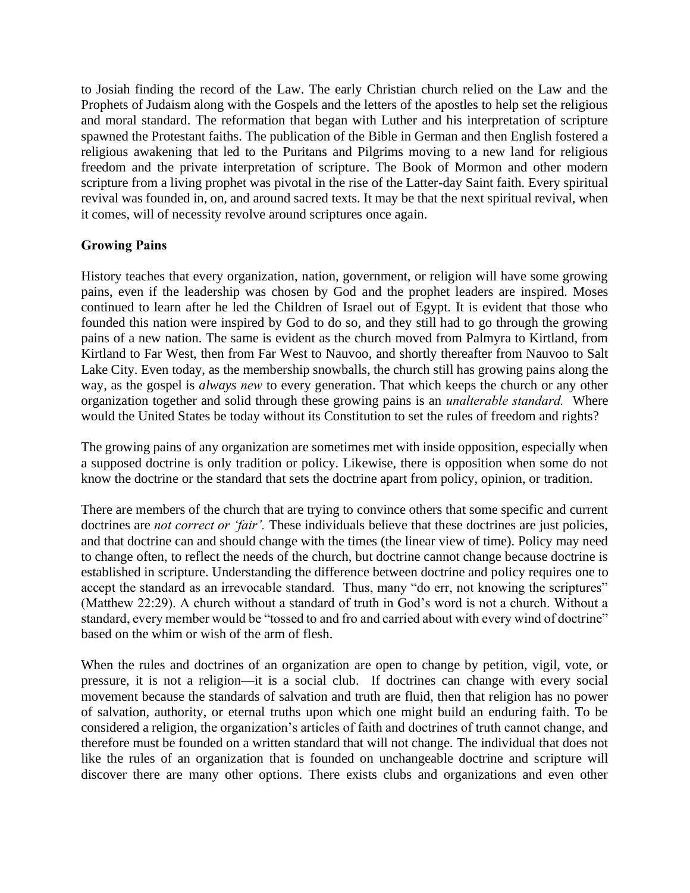to Josiah finding the record of the Law. The early Christian church relied on the Law and the Prophets of Judaism along with the Gospels and the letters of the apostles to help set the religious and moral standard. The reformation that began with Luther and his interpretation of scripture spawned the Protestant faiths. The publication of the Bible in German and then English fostered a religious awakening that led to the Puritans and Pilgrims moving to a new land for religious freedom and the private interpretation of scripture. The Book of Mormon and other modern scripture from a living prophet was pivotal in the rise of the Latter-day Saint faith. Every spiritual revival was founded in, on, and around sacred texts. It may be that the next spiritual revival, when it comes, will of necessity revolve around scriptures once again.

# **Growing Pains**

History teaches that every organization, nation, government, or religion will have some growing pains, even if the leadership was chosen by God and the prophet leaders are inspired. Moses continued to learn after he led the Children of Israel out of Egypt. It is evident that those who founded this nation were inspired by God to do so, and they still had to go through the growing pains of a new nation. The same is evident as the church moved from Palmyra to Kirtland, from Kirtland to Far West, then from Far West to Nauvoo, and shortly thereafter from Nauvoo to Salt Lake City. Even today, as the membership snowballs, the church still has growing pains along the way, as the gospel is *always new* to every generation. That which keeps the church or any other organization together and solid through these growing pains is an *unalterable standard.* Where would the United States be today without its Constitution to set the rules of freedom and rights?

The growing pains of any organization are sometimes met with inside opposition, especially when a supposed doctrine is only tradition or policy. Likewise, there is opposition when some do not know the doctrine or the standard that sets the doctrine apart from policy, opinion, or tradition.

There are members of the church that are trying to convince others that some specific and current doctrines are *not correct or 'fair'*. These individuals believe that these doctrines are just policies, and that doctrine can and should change with the times (the linear view of time). Policy may need to change often, to reflect the needs of the church, but doctrine cannot change because doctrine is established in scripture. Understanding the difference between doctrine and policy requires one to accept the standard as an irrevocable standard. Thus, many "do err, not knowing the scriptures" (Matthew 22:29). A church without a standard of truth in God's word is not a church. Without a standard, every member would be "tossed to and fro and carried about with every wind of doctrine" based on the whim or wish of the arm of flesh.

When the rules and doctrines of an organization are open to change by petition, vigil, vote, or pressure, it is not a religion—it is a social club. If doctrines can change with every social movement because the standards of salvation and truth are fluid, then that religion has no power of salvation, authority, or eternal truths upon which one might build an enduring faith. To be considered a religion, the organization's articles of faith and doctrines of truth cannot change, and therefore must be founded on a written standard that will not change. The individual that does not like the rules of an organization that is founded on unchangeable doctrine and scripture will discover there are many other options. There exists clubs and organizations and even other